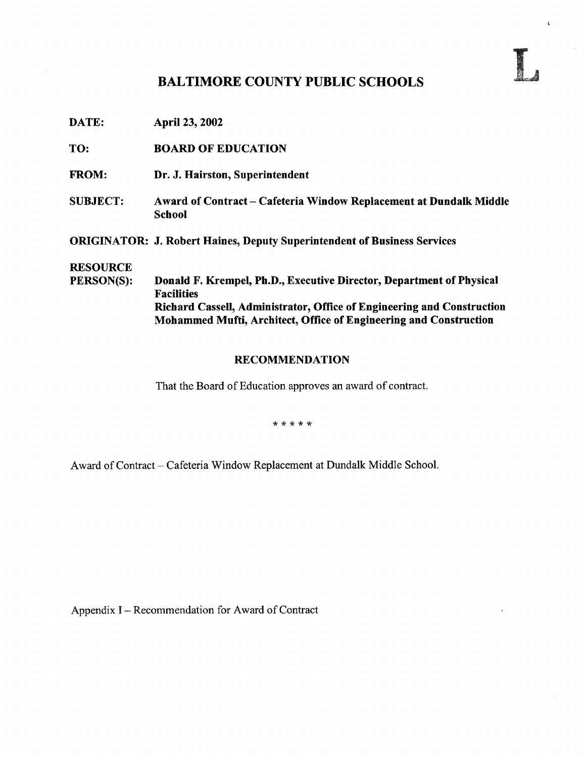## BALTIMORE COUNTY PUBLIC SCHOOLS

DATE: April 23, 2002

TO: BOARD OF EDUCATION

- FROM: Dr. J. Hairston, Superintendent
- SUBJECT: Award of Contract Cafeteria Window Replacement at Dundalk Middle School

ORIGINATOR: J. Robert Haines, Deputy Superintendent of Business Services

# **RESOURCE**<br>PERSON(S):

Donald F. Krempel, Ph.D., Executive Director, Department of Physical Facilities Richard Cassell, Administrator, Office of Engineering and Construction Mohammed Mufti, Architect, Office of Engineering and Construction

#### RECOMMENDATION

That the Board of Education approves an award of contract.

\* \* \* \* \*

Award of Contract - Cafeteria Window Replacement at Dundalk Middle School.

Appendix <sup>I</sup> - Recommendation for Award of Contract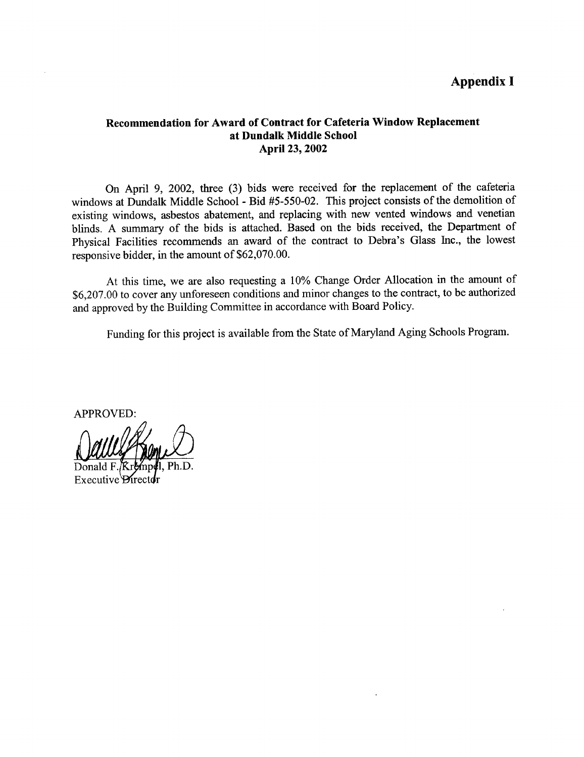## Appendix I

#### Recommendation for Award of Contract for Cafeteria Window Replacement at Dundalk Middle School April 23, 2002

On April 9, 2002, three (3) bids were received for the replacement of the cafeteria windows at Dundalk Middle School - Bid #5-550-02. This project consists of the demolition of existing windows, asbestos abatement, and replacing with new vented windows and venetian blinds . A summary of the bids is attached. Based on the bids received, the Department of Physical Facilities recommends an award of the contract to Debra's Glass Inc., the lowest responsive bidder, in the amount of \$62,070.00.

At this time, we are also requesting <sup>a</sup> 10% Change Order Allocation in the amount of \$6,207.00 to cover any unforeseen conditions and minor changes to the contract, to be authorized and approved by the Building Committee in accordance with Board Policy.

Funding for this project is available from the State of Maryland Aging Schools Program.

APPROVED:

Executive *Pire*